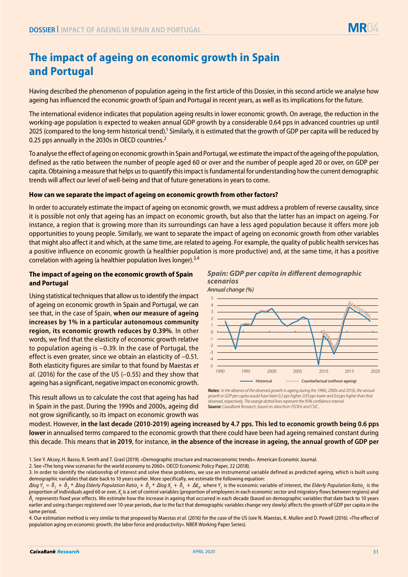# **The impact of ageing on economic growth in Spain and Portugal**

Having described the phenomenon of population ageing in the first article of this Dossier, in this second article we analyse how ageing has influenced the economic growth of Spain and Portugal in recent years, as well as its implications for the future.

The international evidence indicates that population ageing results in lower economic growth. On average, the reduction in the working-age population is expected to weaken annual GDP growth by a considerable 0.64 pps in advanced countries up until 2025 (compared to the long-term historical trend).<sup>1</sup> Similarly, it is estimated that the growth of GDP per capita will be reduced by 0.25 pps annually in the 2030s in OECD countries.<sup>2</sup>

To analyse the effect of ageing on economic growth in Spain and Portugal, we estimate the impact of the ageing of the population, defined as the ratio between the number of people aged 60 or over and the number of people aged 20 or over, on GDP per capita. Obtaining a measure that helps us to quantify this impact is fundamental for understanding how the current demographic trends will affect our level of well-being and that of future generations in years to come.

### **How can we separate the impact of ageing on economic growth from other factors?**

In order to accurately estimate the impact of ageing on economic growth, we must address a problem of reverse causality, since it is possible not only that ageing has an impact on economic growth, but also that the latter has an impact on ageing. For instance, a region that is growing more than its surroundings can have a less aged population because it offers more job opportunities to young people. Similarly, we want to separate the impact of ageing on economic growth from other variables that might also affect it and which, at the same time, are related to ageing. For example, the quality of public health services has a positive influence on economic growth (a healthier population is more productive) and, at the same time, it has a positive correlation with ageing (a healthier population lives longer).3,4

## **The impact of ageing on the economic growth of Spain and Portugal**

Using statistical techniques that allow us to identify the impact of ageing on economic growth in Spain and Portugal, we can see that, in the case of Spain, **when our measure of ageing increases by 1% in a particular autonomous community region, its economic growth reduces by 0.39%**. In other words, we find that the elasticity of economic growth relative to population ageing is –0.39. In the case of Portugal, the effect is even greater, since we obtain an elasticity of –0.51. Both elasticity figures are similar to that found by Maestas *et al.* (2016) for the case of the US (–0.55) and they show that ageing has a significant, negative impact on economic growth.

This result allows us to calculate the cost that ageing has had in Spain in the past. During the 1990s and 2000s, ageing did not grow significantly, so its impact on economic growth was



*Spain: GDP per capita in different demographic* 

modest. However, **in the last decade (2010-2019) ageing increased by 4.7 pps. This led to economic growth being 0.6 pps lower** in annualised terms compared to the economic growth that there could have been had ageing remained constant during this decade. This means that **in 2019**, for instance, **in the absence of the increase in ageing, the annual growth of GDP per** 

4. Our estimation method is very similar to that proposed by Maestas *et al.* (2016) for the case of the US (see N. Maestas, K. Mullen and D. Powell (2016). «The effect of population aging on economic growth, the labor force and productivity». NBER Working Paper Series).

*Notes: In the absence of the observed growth in ageing during the 1990s, 2000s and 2010s, the annual growth in GDP per capita would have been 0.2 pps higher, 0.03 pps lower and 0.6 pps higher than that observed, respectively. The orange dotted lines represent the 95% confidence interval. Source: CaixaBank Research, based on data from FEDEA and CSIC.*

<sup>1.</sup> See Y. Aksoy, H. Basso, R. Smith and T. Grasl (2019). «Demographic structure and macroeconomic trends». American Economic Journal.

<sup>2.</sup> See «The long view scenarios for the world economy to 2060». OECD Economic Policy Paper, 22 (2018).

<sup>3.</sup> In order to identify the relationship of interest and solve these problems, we use an instrumental variable defined as predicted ageing, which is built using demographic variables that date back to 10 years earlier. More specifically, we estimate the following equation:

 $\Delta$ log Y<sub>t</sub> = δ<sub>1</sub> + δ<sub>2</sub> \*  $\Delta$ log Elderly Population Ratio<sub>t</sub> + δ<sub>3</sub> \*  $\Delta$ log X<sub>t</sub> + δ<sub>t</sub> +  $\Delta \epsilon$ <sub>r</sub> where Y<sub>t</sub> is the economic variable of interest, the Elderly Population Ratio<sub>t</sub> is the proportion of individuals aged 60 or over, *X<sub>t</sub>* is a set of control variables (proportion of employees in each economic sector and migratory flows between regions) and *δt* represents fixed year effects. We estimate how the increase in ageing that occurred in each decade (based on demographic variables that date back to 10 years earlier and using changes registered over 10-year periods, due to the fact that demographic variables change very slowly) affects the growth of GDP per capita in the same period.